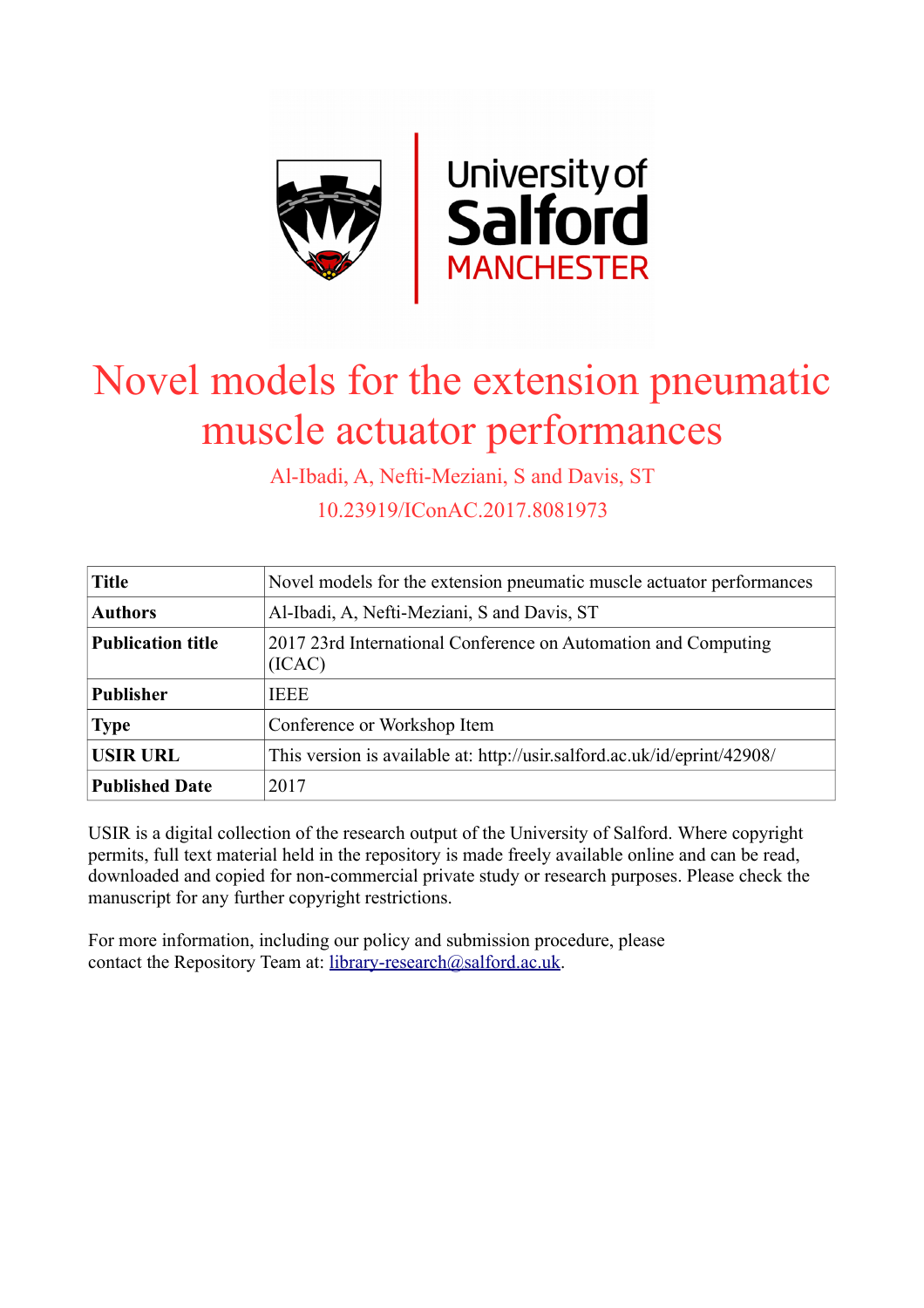

# Novel models for the extension pneumatic muscle actuator performances

Al-Ibadi, A, Nefti-Meziani, S and Davis, ST

10.23919/IConAC.2017.8081973

| <b>Title</b>             | Novel models for the extension pneumatic muscle actuator performances    |  |  |
|--------------------------|--------------------------------------------------------------------------|--|--|
| <b>Authors</b>           | Al-Ibadi, A, Nefti-Meziani, S and Davis, ST                              |  |  |
| <b>Publication title</b> | 2017 23rd International Conference on Automation and Computing<br>(ICAC) |  |  |
| <b>Publisher</b>         | <b>IEEE</b>                                                              |  |  |
| <b>Type</b>              | Conference or Workshop Item                                              |  |  |
| <b>USIR URL</b>          | This version is available at: http://usir.salford.ac.uk/id/eprint/42908/ |  |  |
| <b>Published Date</b>    | 2017                                                                     |  |  |

USIR is a digital collection of the research output of the University of Salford. Where copyright permits, full text material held in the repository is made freely available online and can be read, downloaded and copied for non-commercial private study or research purposes. Please check the manuscript for any further copyright restrictions.

For more information, including our policy and submission procedure, please contact the Repository Team at: [library-research@salford.ac.uk.](mailto:library-research@salford.ac.uk)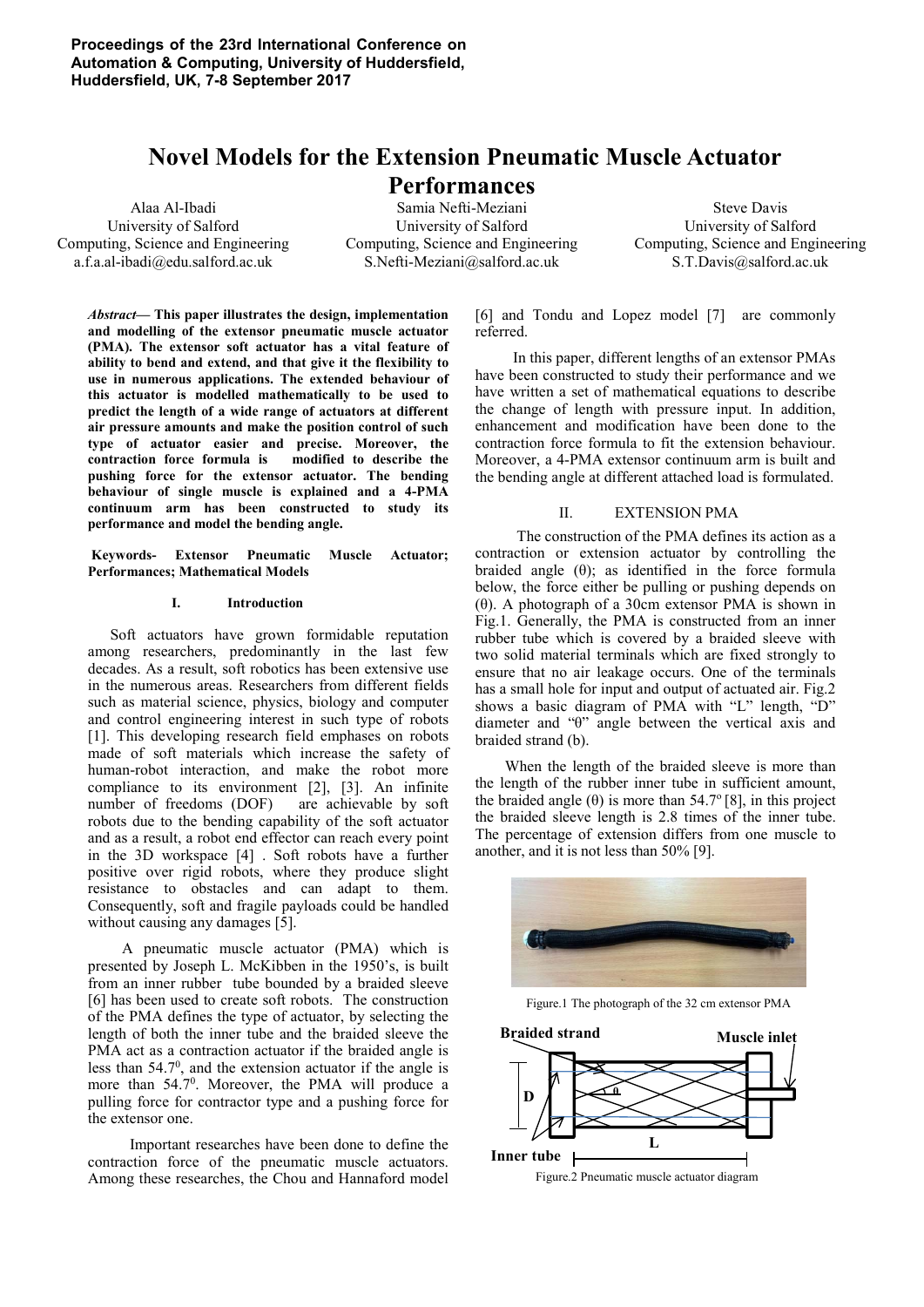# **Novel Models for the Extension Pneumatic Muscle Actuator**

# **Performances**

Alaa Al-Ibadi University of Salford Computing, Science and Engineering a.f.a.al-ibadi@edu.salford.ac.uk

Samia Nefti-Meziani University of Salford Computing, Science and Engineering S.Nefti-Meziani@salford.ac.uk

Steve Davis University of Salford Computing, Science and Engineering S.T.Davis@salford.ac.uk

*Abstract***— This paper illustrates the design, implementation and modelling of the extensor pneumatic muscle actuator (PMA). The extensor soft actuator has a vital feature of ability to bend and extend, and that give it the flexibility to use in numerous applications. The extended behaviour of this actuator is modelled mathematically to be used to predict the length of a wide range of actuators at different air pressure amounts and make the position control of such type of actuator easier and precise. Moreover, the contraction force formula is modified to describe the pushing force for the extensor actuator. The bending behaviour of single muscle is explained and a 4-PMA continuum arm has been constructed to study its performance and model the bending angle.** 

 **Keywords- Extensor Pneumatic Muscle Actuator; Performances; Mathematical Models** 

## **I. Introduction**

Soft actuators have grown formidable reputation among researchers, predominantly in the last few decades. As a result, soft robotics has been extensive use in the numerous areas. Researchers from different fields such as material science, physics, biology and computer and control engineering interest in such type of robots [1]. This developing research field emphases on robots made of soft materials which increase the safety of human-robot interaction, and make the robot more compliance to its environment [2], [3]. An infinite number of freedoms (DOF) are achievable by soft robots due to the bending capability of the soft actuator and as a result, a robot end effector can reach every point in the 3D workspace [4] . Soft robots have a further positive over rigid robots, where they produce slight resistance to obstacles and can adapt to them. Consequently, soft and fragile payloads could be handled without causing any damages [5].

 A pneumatic muscle actuator (PMA) which is presented by Joseph L. McKibben in the 1950's, is built from an inner rubber tube bounded by a braided sleeve [6] has been used to create soft robots. The construction of the PMA defines the type of actuator, by selecting the length of both the inner tube and the braided sleeve the PMA act as a contraction actuator if the braided angle is less than  $54.7^\circ$ , and the extension actuator if the angle is more than 54.7<sup>0</sup>. Moreover, the PMA will produce a pulling force for contractor type and a pushing force for the extensor one.

 Important researches have been done to define the contraction force of the pneumatic muscle actuators. Among these researches, the Chou and Hannaford model [6] and Tondu and Lopez model [7] are commonly referred.

 In this paper, different lengths of an extensor PMAs have been constructed to study their performance and we have written a set of mathematical equations to describe the change of length with pressure input. In addition, enhancement and modification have been done to the contraction force formula to fit the extension behaviour. Moreover, a 4-PMA extensor continuum arm is built and the bending angle at different attached load is formulated.

#### II. EXTENSION PMA

 The construction of the PMA defines its action as a contraction or extension actuator by controlling the braided angle  $(\theta)$ ; as identified in the force formula below, the force either be pulling or pushing depends on (θ). A photograph of a 30cm extensor PMA is shown in Fig.1. Generally, the PMA is constructed from an inner rubber tube which is covered by a braided sleeve with two solid material terminals which are fixed strongly to ensure that no air leakage occurs. One of the terminals has a small hole for input and output of actuated air. Fig.2 shows a basic diagram of PMA with "L" length, "D" diameter and "θ" angle between the vertical axis and braided strand (b).

 When the length of the braided sleeve is more than the length of the rubber inner tube in sufficient amount, the braided angle ( $\theta$ ) is more than 54.7° [8], in this project the braided sleeve length is 2.8 times of the inner tube. The percentage of extension differs from one muscle to another, and it is not less than 50% [9].



Figure.1 The photograph of the 32 cm extensor PMA

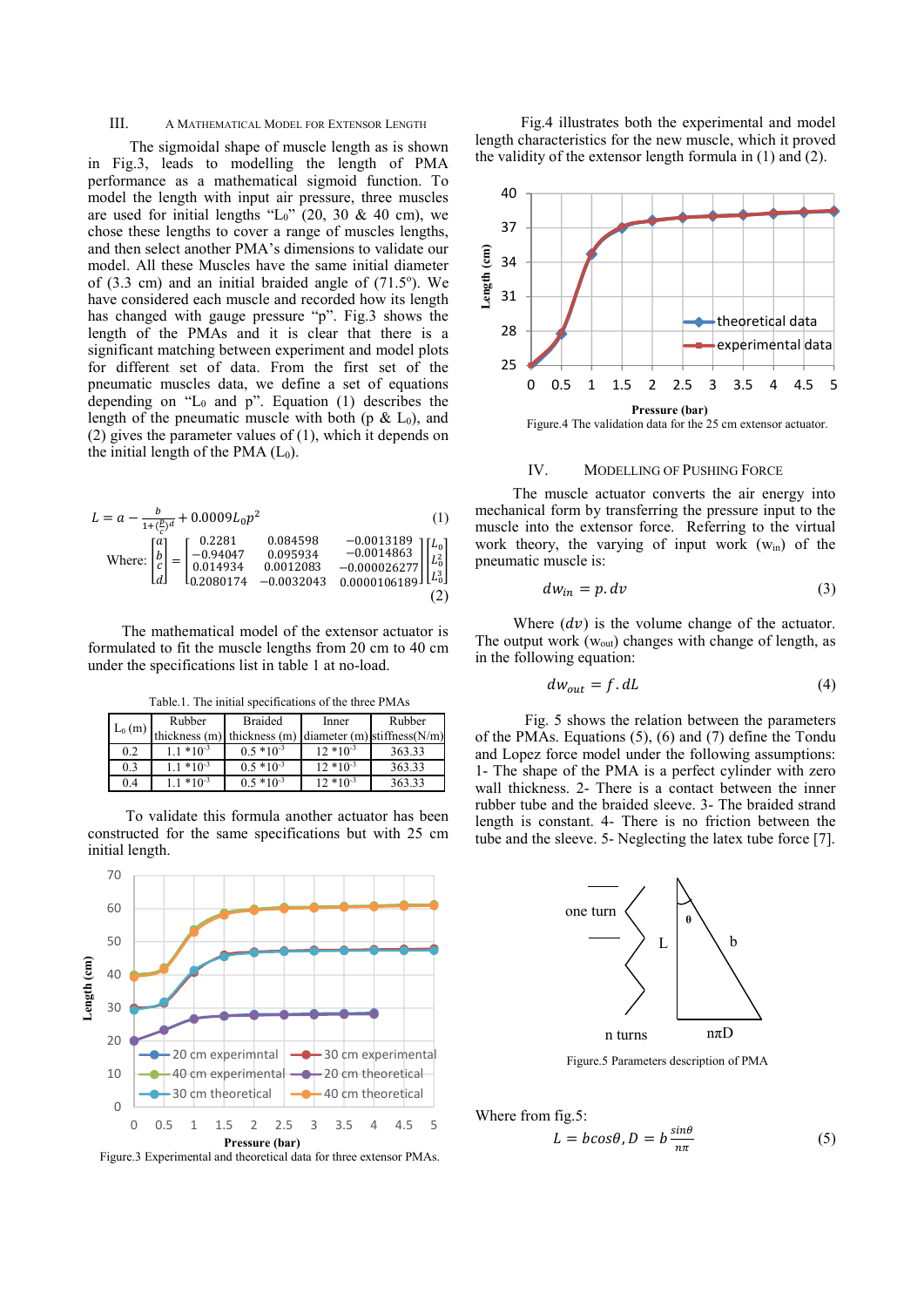#### III. A MATHEMATICAL MODEL FOR EXTENSOR LENGTH

 The sigmoidal shape of muscle length as is shown in Fig.3, leads to modelling the length of PMA performance as a mathematical sigmoid function. To model the length with input air pressure, three muscles are used for initial lengths " $L_0$ " (20, 30 & 40 cm), we chose these lengths to cover a range of muscles lengths, and then select another PMA's dimensions to validate our model. All these Muscles have the same initial diameter of  $(3.3 \text{ cm})$  and an initial braided angle of  $(71.5\text{°})$ . We have considered each muscle and recorded how its length has changed with gauge pressure "p". Fig.3 shows the length of the PMAs and it is clear that there is a significant matching between experiment and model plots for different set of data. From the first set of the pneumatic muscles data, we define a set of equations depending on " $L_0$  and p". Equation (1) describes the length of the pneumatic muscle with both (p  $\&$  L<sub>0</sub>), and (2) gives the parameter values of (1), which it depends on the initial length of the PMA  $(L_0)$ .

$$
L = a - \frac{b}{1 + (\frac{p}{c})^d} + 0.0009L_0p^2
$$
\n(1)  
\nWhere: 
$$
\begin{bmatrix} a \\ b \\ c \\ d \end{bmatrix} = \begin{bmatrix} 0.2281 & 0.084598 & -0.0013189 \\ -0.94047 & 0.095934 & -0.0014863 \\ 0.014934 & 0.0012083 & -0.000026277 \\ 0.2080174 & -0.0032043 & 0.0000106189 \end{bmatrix} \begin{bmatrix} L_0 \\ L_0^2 \\ L_0^3 \\ L_0^3 \end{bmatrix}
$$
\n(2)

 The mathematical model of the extensor actuator is formulated to fit the muscle lengths from 20 cm to 40 cm under the specifications list in table 1 at no-load.

Table.1. The initial specifications of the three PMAs

| $L_0(m)$ | Rubber        | <b>Braided</b>                                             | Inner        | Rubber |
|----------|---------------|------------------------------------------------------------|--------------|--------|
|          |               | thickness (m) thickness (m) diameter (m) stiffness $(N/m)$ |              |        |
| 0.2      | $1.1*10^{-3}$ | $0.5*10^{-3}$                                              | $12*10^{-3}$ | 363.33 |
| 0.3      | $1.1*10^{-3}$ | $0.5*10^{-3}$                                              | $12*10^{-3}$ | 363.33 |
| 0.4      | $1.1*10^{-3}$ | $0.5*10^{-3}$                                              | $12*10^{-3}$ | 363.33 |

 To validate this formula another actuator has been constructed for the same specifications but with 25 cm initial length.



Figure.3 Experimental and theoretical data for three extensor PMAs.

 Fig.4 illustrates both the experimental and model length characteristics for the new muscle, which it proved the validity of the extensor length formula in (1) and (2).



#### IV. MODELLING OF PUSHING FORCE

 The muscle actuator converts the air energy into mechanical form by transferring the pressure input to the muscle into the extensor force. Referring to the virtual work theory, the varying of input work  $(w_{in})$  of the pneumatic muscle is:

$$
dw_{in} = p \cdot dv \tag{3}
$$

Where  $(d\nu)$  is the volume change of the actuator. The output work  $(w_{out})$  changes with change of length, as in the following equation:

$$
dw_{out} = f. \, dL \tag{4}
$$

 Fig. 5 shows the relation between the parameters of the PMAs. Equations (5), (6) and (7) define the Tondu and Lopez force model under the following assumptions: 1- The shape of the PMA is a perfect cylinder with zero wall thickness. 2- There is a contact between the inner rubber tube and the braided sleeve. 3- The braided strand length is constant. 4- There is no friction between the tube and the sleeve. 5- Neglecting the latex tube force [7].



Figure.5 Parameters description of PMA

Where from fig.5:

$$
L = b\cos\theta, D = b\frac{\sin\theta}{n\pi} \tag{5}
$$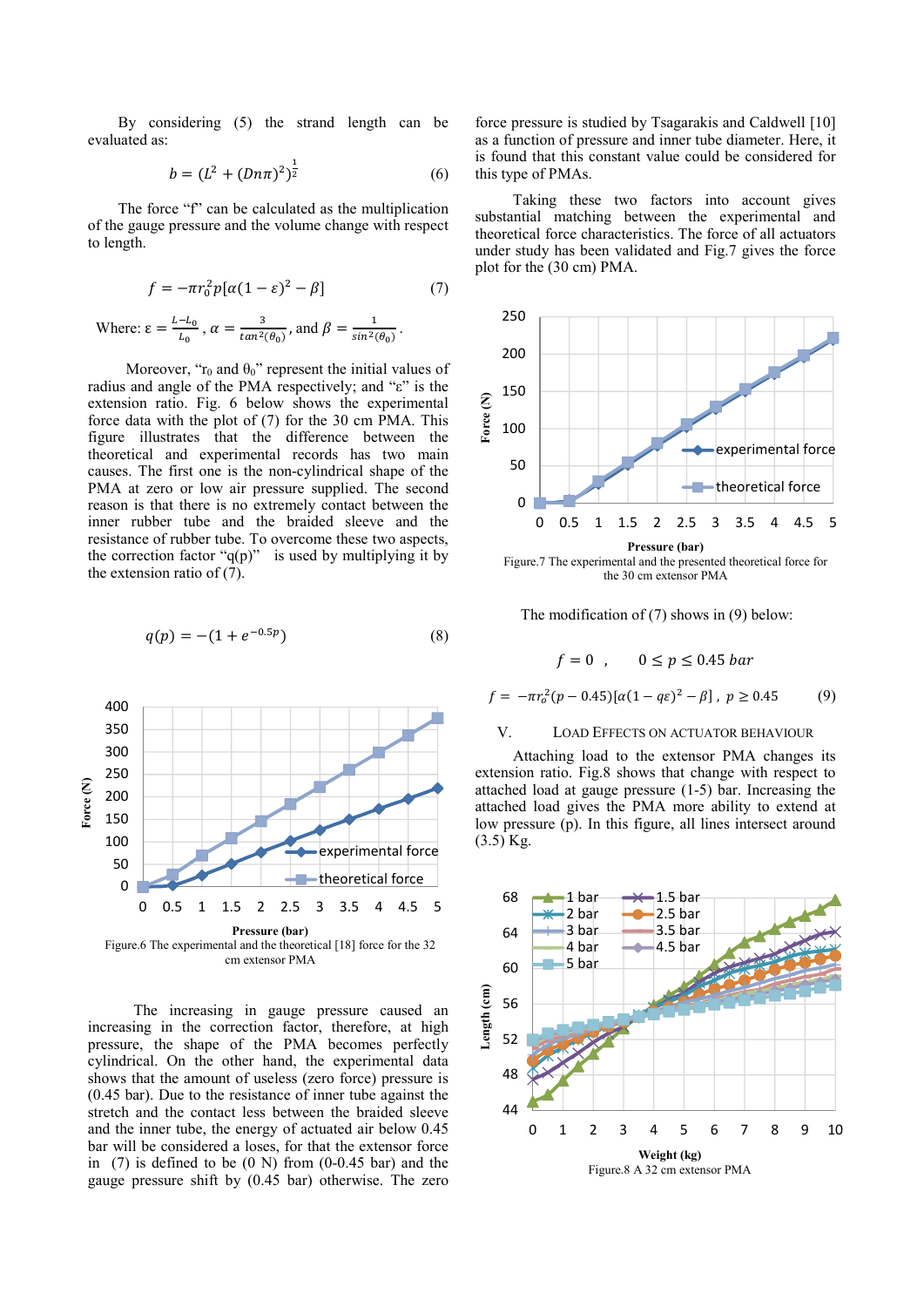By considering (5) the strand length can be evaluated as:

$$
b = (L^2 + (Dn\pi)^2)^{\frac{1}{2}} \tag{6}
$$

 The force "f" can be calculated as the multiplication of the gauge pressure and the volume change with respect to length.

$$
f = -\pi r_0^2 p[\alpha(1 - \varepsilon)^2 - \beta] \tag{7}
$$

Where: 
$$
\varepsilon = \frac{L - L_0}{L_0}
$$
,  $\alpha = \frac{3}{\tan^2(\theta_0)}$ , and  $\beta = \frac{1}{\sin^2(\theta_0)}$ .

Moreover, " $r_0$  and  $\theta_0$ " represent the initial values of radius and angle of the PMA respectively; and "ε" is the extension ratio. Fig. 6 below shows the experimental force data with the plot of (7) for the 30 cm PMA. This figure illustrates that the difference between the theoretical and experimental records has two main causes. The first one is the non-cylindrical shape of the PMA at zero or low air pressure supplied. The second reason is that there is no extremely contact between the inner rubber tube and the braided sleeve and the resistance of rubber tube. To overcome these two aspects, the correction factor " $q(p)$ " is used by multiplying it by the extension ratio of (7).

$$
q(p) = -(1 + e^{-0.5p})
$$
 (8)



 The increasing in gauge pressure caused an increasing in the correction factor, therefore, at high pressure, the shape of the PMA becomes perfectly cylindrical. On the other hand, the experimental data shows that the amount of useless (zero force) pressure is (0.45 bar). Due to the resistance of inner tube against the stretch and the contact less between the braided sleeve and the inner tube, the energy of actuated air below 0.45 bar will be considered a loses, for that the extensor force in  $(7)$  is defined to be  $(0 \text{ N})$  from  $(0-0.45 \text{ bar})$  and the gauge pressure shift by (0.45 bar) otherwise. The zero force pressure is studied by Tsagarakis and Caldwell [10] as a function of pressure and inner tube diameter. Here, it is found that this constant value could be considered for this type of PMAs.

 Taking these two factors into account gives substantial matching between the experimental and theoretical force characteristics. The force of all actuators under study has been validated and Fig.7 gives the force plot for the (30 cm) PMA.



The modification of (7) shows in (9) below:

$$
f = 0 \quad , \qquad 0 \le p \le 0.45 \; bar
$$

$$
f = -\pi r_o^2 (p - 0.45) [\alpha (1 - q\varepsilon)^2 - \beta], \ p \ge 0.45
$$
 (9)

#### V. LOAD EFFECTS ON ACTUATOR BEHAVIOUR

 Attaching load to the extensor PMA changes its extension ratio. Fig.8 shows that change with respect to attached load at gauge pressure (1-5) bar. Increasing the attached load gives the PMA more ability to extend at low pressure (p). In this figure, all lines intersect around  $(3.5)$  Kg.

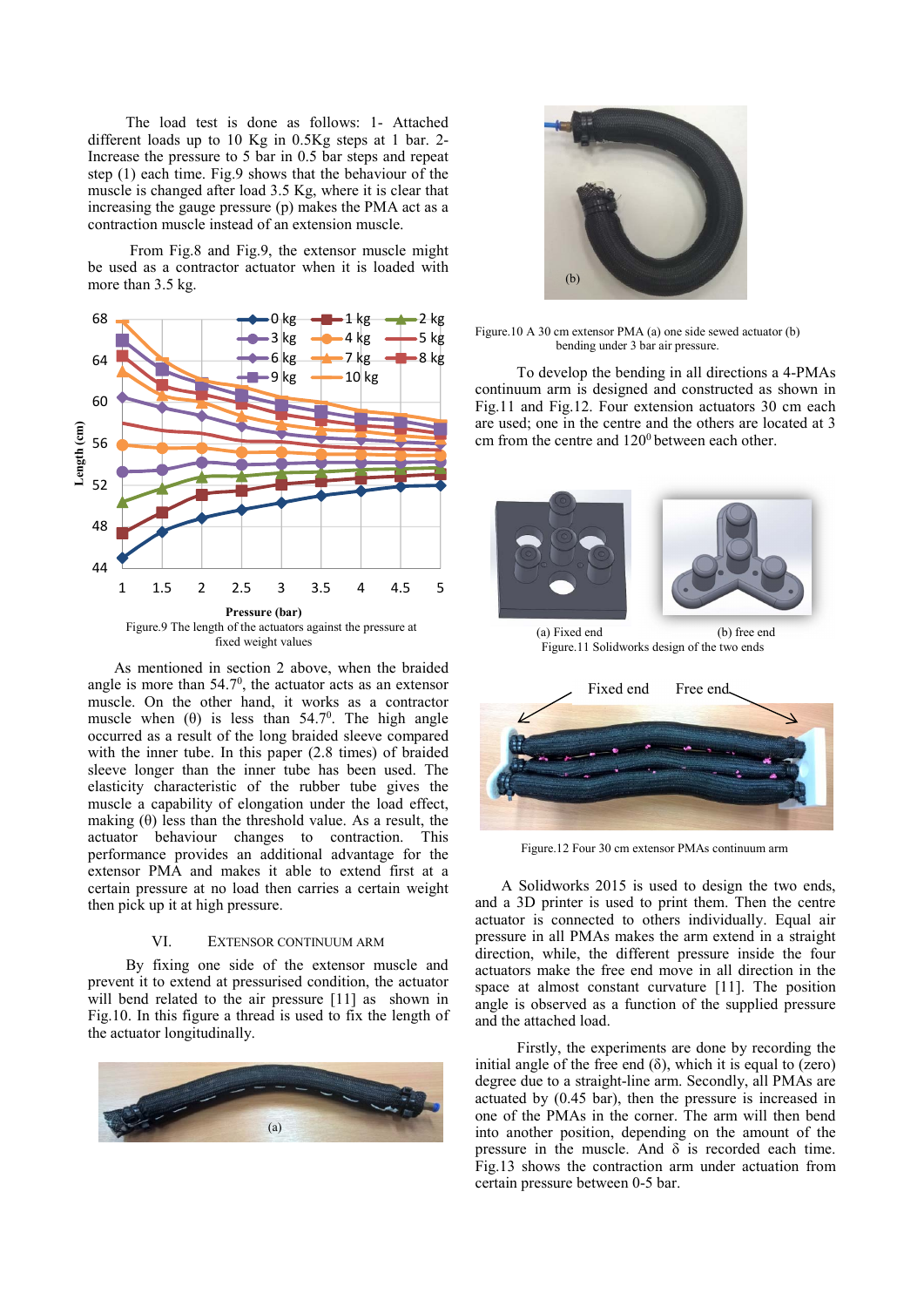The load test is done as follows: 1- Attached different loads up to 10 Kg in 0.5Kg steps at 1 bar. 2- Increase the pressure to 5 bar in 0.5 bar steps and repeat step (1) each time. Fig.9 shows that the behaviour of the muscle is changed after load 3.5 Kg, where it is clear that increasing the gauge pressure (p) makes the PMA act as a contraction muscle instead of an extension muscle.

 From Fig.8 and Fig.9, the extensor muscle might be used as a contractor actuator when it is loaded with more than 3.5 kg.



 As mentioned in section 2 above, when the braided angle is more than  $54.7^\circ$ , the actuator acts as an extensor muscle. On the other hand, it works as a contractor muscle when  $(\theta)$  is less than 54.7<sup>0</sup>. The high angle occurred as a result of the long braided sleeve compared with the inner tube. In this paper (2.8 times) of braided sleeve longer than the inner tube has been used. The elasticity characteristic of the rubber tube gives the muscle a capability of elongation under the load effect, making  $(\theta)$  less than the threshold value. As a result, the actuator behaviour changes to contraction. This performance provides an additional advantage for the extensor PMA and makes it able to extend first at a certain pressure at no load then carries a certain weight then pick up it at high pressure.

## VI. EXTENSOR CONTINUUM ARM

 By fixing one side of the extensor muscle and prevent it to extend at pressurised condition, the actuator will bend related to the air pressure [11] as shown in Fig.10. In this figure a thread is used to fix the length of the actuator longitudinally.





Figure.10 A 30 cm extensor PMA (a) one side sewed actuator (b) bending under 3 bar air pressure.

 To develop the bending in all directions a 4-PMAs continuum arm is designed and constructed as shown in Fig.11 and Fig.12. Four extension actuators 30 cm each are used; one in the centre and the others are located at 3 cm from the centre and  $120^{\circ}$  between each other.





Figure.12 Four 30 cm extensor PMAs continuum arm

 A Solidworks 2015 is used to design the two ends, and a 3D printer is used to print them. Then the centre actuator is connected to others individually. Equal air pressure in all PMAs makes the arm extend in a straight direction, while, the different pressure inside the four actuators make the free end move in all direction in the space at almost constant curvature [11]. The position angle is observed as a function of the supplied pressure and the attached load.

 Firstly, the experiments are done by recording the initial angle of the free end  $(\delta)$ , which it is equal to (zero) degree due to a straight-line arm. Secondly, all PMAs are actuated by (0.45 bar), then the pressure is increased in one of the PMAs in the corner. The arm will then bend into another position, depending on the amount of the pressure in the muscle. And  $\delta$  is recorded each time. Fig.13 shows the contraction arm under actuation from certain pressure between 0-5 bar.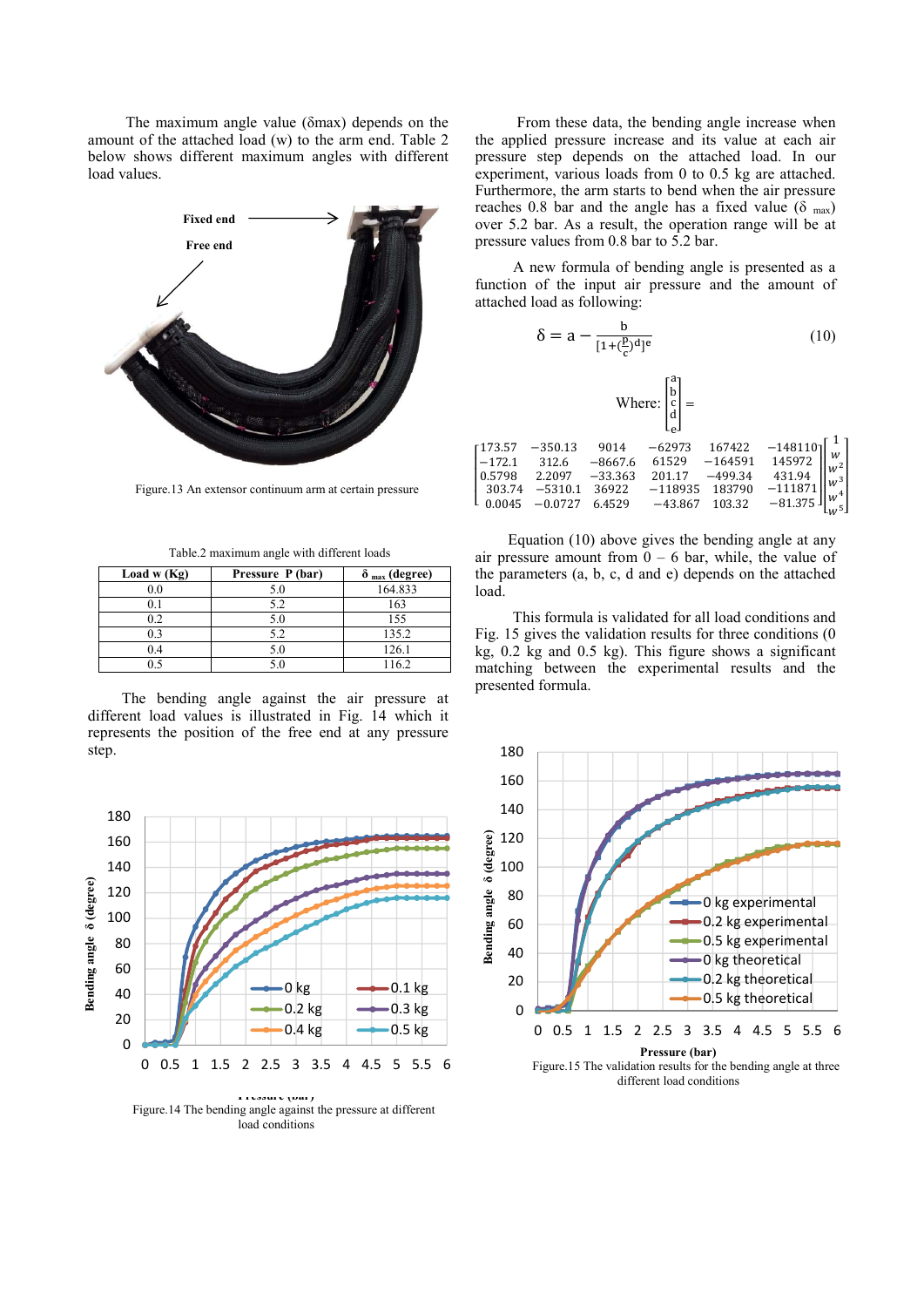The maximum angle value (δmax) depends on the amount of the attached load (w) to the arm end. Table 2 below shows different maximum angles with different load values.



Figure.13 An extensor continuum arm at certain pressure

Table.2 maximum angle with different loads

| Load w $(Kg)$ | Pressure P (bar) | $\delta$ <sub>max</sub> (degree) |
|---------------|------------------|----------------------------------|
| 0.0           | 5.0              | 164.833                          |
|               | 5.2              | 163                              |
|               | 5.0              | 155                              |
| 0.3           | 52               | 135.2                            |
| 0.4           | 5.0              | 126.1                            |
|               |                  | 1162                             |

 The bending angle against the air pressure at different load values is illustrated in Fig. 14 which it represents the position of the free end at any pressure step.



load conditions

 From these data, the bending angle increase when the applied pressure increase and its value at each air pressure step depends on the attached load. In our experiment, various loads from 0 to 0.5 kg are attached. Furthermore, the arm starts to bend when the air pressure reaches 0.8 bar and the angle has a fixed value ( $\delta$ <sub>max</sub>) over 5.2 bar. As a result, the operation range will be at pressure values from 0.8 bar to 5.2 bar.

 A new formula of bending angle is presented as a function of the input air pressure and the amount of attached load as following:

$$
\delta = a - \frac{b}{[1 + (\frac{p}{c})^d]^e}
$$
 (10)

Where: 
$$
\begin{bmatrix} a \\ b \\ c \\ d \\ e \end{bmatrix} =
$$

 Equation (10) above gives the bending angle at any air pressure amount from  $\overline{0}$  – 6 bar, while, the value of the parameters (a, b, c, d and e) depends on the attached load.

 This formula is validated for all load conditions and Fig. 15 gives the validation results for three conditions (0 kg, 0.2 kg and 0.5 kg). This figure shows a significant matching between the experimental results and the presented formula.